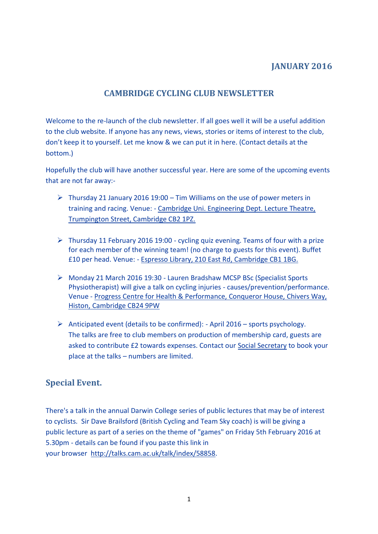## **JANUARY 2016**

## **CAMBRIDGE CYCLING CLUB NEWSLETTER**

Welcome to the re-launch of the club newsletter. If all goes well it will be a useful addition to the club website. If anyone has any news, views, stories or items of interest to the club, don't keep it to yourself. Let me know & we can put it in here. (Contact details at the bottom.)

Hopefully the club will have another successful year. Here are some of the upcoming events that are not far away:-

- $\triangleright$  Thursday 21 January 2016 19:00 Tim Williams on the use of power meters in training and racing. Venue: - [Cambridge Uni. Engineering Dept. Lecture Theatre,](https://www.google.com/maps/place/Department+of+Engineering,+University+of+Cambridge/@52.198361,0.1184843,17z/data=%213m1%214b1%214m2%213m1%211s0x47d8774ed42712a9:0x67f4678955a5ba18?hl=en)  [Trumpington Street, Cambridge CB2 1PZ.](https://www.google.com/maps/place/Department+of+Engineering,+University+of+Cambridge/@52.198361,0.1184843,17z/data=%213m1%214b1%214m2%213m1%211s0x47d8774ed42712a9:0x67f4678955a5ba18?hl=en)
- $\triangleright$  Thursday 11 February 2016 19:00 cycling quiz evening. Teams of four with a prize for each member of the winning team! (no charge to guests for this event). Buffet £10 per head. Venue: - [Espresso Library, 210 East Rd, Cambridge CB1 1BG.](https://www.google.com/maps/place/Espresso+Library/@52.2031799,0.1294286,17z/data=%213m1%214b1%214m2%213m1%211s0x47d8709022ad0011:0x1a997668e07cb99e?hl=en)
- Monday 21 March 2016 19:30 Lauren Bradshaw MCSP BSc (Specialist Sports Physiotherapist) will give a talk on cycling injuries - causes/prevention/performance. Venue - [Progress Centre for Health & Performance, Conqueror House, Chivers Way,](https://www.google.com/maps/place/Progress+-+The+Cambridge+Centre+for+Health+and+Performance/@52.2447727,0.1045515,17z/data=%213m1%214b1%214m2%213m1%211s0x47d8713023a5d43d:0x520c21711bddef51?hl=en-GB)  [Histon, Cambridge CB24 9PW](https://www.google.com/maps/place/Progress+-+The+Cambridge+Centre+for+Health+and+Performance/@52.2447727,0.1045515,17z/data=%213m1%214b1%214m2%213m1%211s0x47d8713023a5d43d:0x520c21711bddef51?hl=en-GB)
- Anticipated event (details to be confirmed): April 2016 sports psychology. The talks are free to club members on production of membership card, guests are asked to contribute £2 towards expenses. Contact our [Social Secretary](mailto:socialsec@cambridgecc.co.uk) to book your place at the talks – numbers are limited.

## **Special Event.**

There's a talk in the annual Darwin College series of public lectures that may be of interest to cyclists. Sir Dave Brailsford (British Cycling and Team Sky coach) is will be giving a public lecture as part of a series on the theme of "games" on Friday 5th February 2016 at 5.30pm - details can be found if you paste this link in your browser [http://talks.cam.ac.uk/talk/index/58858.](http://talks.cam.ac.uk/talk/index/58858)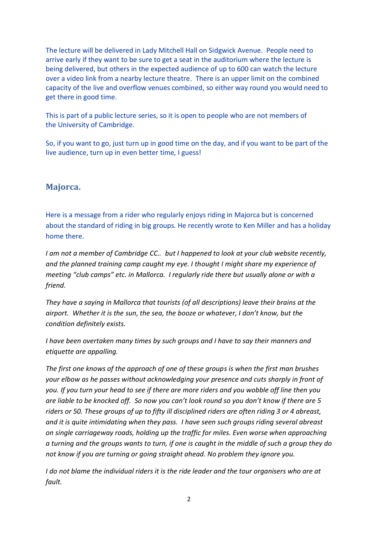The lecture will be delivered in Lady Mitchell Hall on Sidgwick Avenue. People need to arrive early if they want to be sure to get a seat in the auditorium where the lecture is being delivered, but others in the expected audience of up to 600 can watch the lecture over a video link from a nearby lecture theatre. There is an upper limit on the combined capacity of the live and overflow venues combined, so either way round you would need to get there in good time.

This is part of a public lecture series, so it is open to people who are not members of the University of Cambridge.

So, if you want to go, just turn up in good time on the day, and if you want to be part of the live audience, turn up in even better time, I guess!

### **Majorca.**

Here is a message from a rider who regularly enjoys riding in Majorca but is concerned about the standard of riding in big groups. He recently wrote to Ken Miller and has a holiday home there.

*I am not a member of Cambridge CC.. but I happened to look at your club website recently, and the planned training camp caught my eye. I thought I might share my experience of meeting "club camps" etc. in Mallorca. I regularly ride there but usually alone or with a friend.*

*They have a saying in Mallorca that tourists (of all descriptions) leave their brains at the airport. Whether it is the sun, the sea, the booze or whatever, I don't know, but the condition definitely exists.*

*I have been overtaken many times by such groups and I have to say their manners and etiquette are appalling.* 

*The first one knows of the approach of one of these groups is when the first man brushes your elbow as he passes without acknowledging your presence and cuts sharply in front of you. If you turn your head to see if there are more riders and you wobble off line then you are liable to be knocked off. So now you can't look round so you don't know if there are 5 riders or 50. These groups of up to fifty ill disciplined riders are often riding 3 or 4 abreast, and it is quite intimidating when they pass. I have seen such groups riding several abreast on single carriageway roads, holding up the traffic for miles. Even worse when approaching a turning and the groups wants to turn, if one is caught in the middle of such a group they do not know if you are turning or going straight ahead. No problem they ignore you.*

*I do not blame the individual riders it is the ride leader and the tour organisers who are at fault.*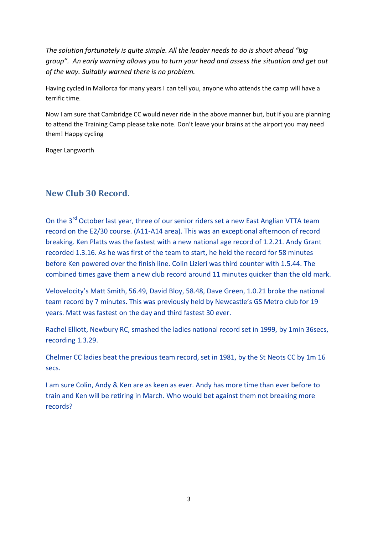*The solution fortunately is quite simple. All the leader needs to do is shout ahead "big group". An early warning allows you to turn your head and assess the situation and get out of the way. Suitably warned there is no problem.*

Having cycled in Mallorca for many years I can tell you, anyone who attends the camp will have a terrific time.

Now I am sure that Cambridge CC would never ride in the above manner but, but if you are planning to attend the Training Camp please take note. Don't leave your brains at the airport you may need them! Happy cycling

Roger Langworth

### **New Club 30 Record.**

On the 3<sup>rd</sup> October last year, three of our senior riders set a new East Anglian VTTA team record on the E2/30 course. (A11-A14 area). This was an exceptional afternoon of record breaking. Ken Platts was the fastest with a new national age record of 1.2.21. Andy Grant recorded 1.3.16. As he was first of the team to start, he held the record for 58 minutes before Ken powered over the finish line. Colin Lizieri was third counter with 1.5.44. The combined times gave them a new club record around 11 minutes quicker than the old mark.

Velovelocity's Matt Smith, 56.49, David Bloy, 58.48, Dave Green, 1.0.21 broke the national team record by 7 minutes. This was previously held by Newcastle's GS Metro club for 19 years. Matt was fastest on the day and third fastest 30 ever.

Rachel Elliott, Newbury RC, smashed the ladies national record set in 1999, by 1min 36secs, recording 1.3.29.

Chelmer CC ladies beat the previous team record, set in 1981, by the St Neots CC by 1m 16 secs.

I am sure Colin, Andy & Ken are as keen as ever. Andy has more time than ever before to train and Ken will be retiring in March. Who would bet against them not breaking more records?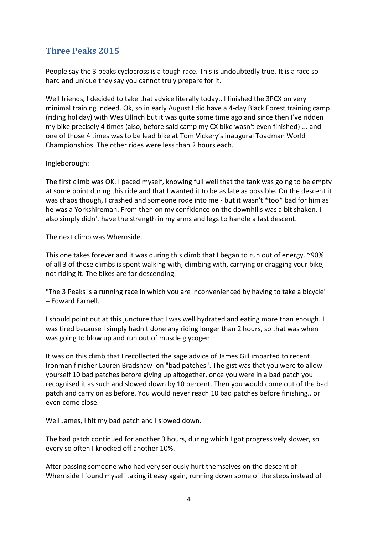# **Three Peaks 2015**

People say the 3 peaks cyclocross is a tough race. This is undoubtedly true. It is a race so hard and unique they say you cannot truly prepare for it.

Well friends, I decided to take that advice literally today.. I finished the 3PCX on very minimal training indeed. Ok, so in early August I did have a 4-day Black Forest training camp (riding holiday) with Wes Ullrich but it was quite some time ago and since then I've ridden my bike precisely 4 times (also, before said camp my CX bike wasn't even finished) ... and one of those 4 times was to be lead bike at Tom Vickery's inaugural Toadman World Championships. The other rides were less than 2 hours each.

#### Ingleborough:

The first climb was OK. I paced myself, knowing full well that the tank was going to be empty at some point during this ride and that I wanted it to be as late as possible. On the descent it was chaos though, I crashed and someone rode into me - but it wasn't \*too\* bad for him as he was a Yorkshireman. From then on my confidence on the downhills was a bit shaken. I also simply didn't have the strength in my arms and legs to handle a fast descent.

The next climb was Whernside.

This one takes forever and it was during this climb that I began to run out of energy. ~90% of all 3 of these climbs is spent walking with, climbing with, carrying or dragging your bike, not riding it. The bikes are for descending.

"The 3 Peaks is a running race in which you are inconvenienced by having to take a bicycle" – Edward Farnell.

I should point out at this juncture that I was well hydrated and eating more than enough. I was tired because I simply hadn't done any riding longer than 2 hours, so that was when I was going to blow up and run out of muscle glycogen.

It was on this climb that I recollected the sage advice of James Gill imparted to recent Ironman finisher Lauren Bradshaw on "bad patches". The gist was that you were to allow yourself 10 bad patches before giving up altogether, once you were in a bad patch you recognised it as such and slowed down by 10 percent. Then you would come out of the bad patch and carry on as before. You would never reach 10 bad patches before finishing.. or even come close.

Well James, I hit my bad patch and I slowed down.

The bad patch continued for another 3 hours, during which I got progressively slower, so every so often I knocked off another 10%.

After passing someone who had very seriously hurt themselves on the descent of Whernside I found myself taking it easy again, running down some of the steps instead of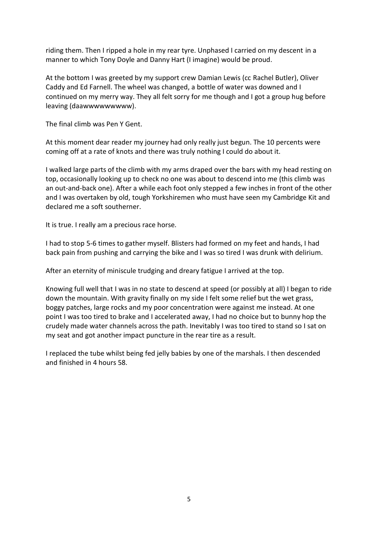riding them. Then I ripped a hole in my rear tyre. Unphased I carried on my descent in a manner to which Tony Doyle and Danny Hart (I imagine) would be proud.

At the bottom I was greeted by my support crew Damian Lewis (cc Rachel Butler), Oliver Caddy and Ed Farnell. The wheel was changed, a bottle of water was downed and I continued on my merry way. They all felt sorry for me though and I got a group hug before leaving (daawwwwwwwww).

The final climb was Pen Y Gent.

At this moment dear reader my journey had only really just begun. The 10 percents were coming off at a rate of knots and there was truly nothing I could do about it.

I walked large parts of the climb with my arms draped over the bars with my head resting on top, occasionally looking up to check no one was about to descend into me (this climb was an out-and-back one). After a while each foot only stepped a few inches in front of the other and I was overtaken by old, tough Yorkshiremen who must have seen my Cambridge Kit and declared me a soft southerner.

It is true. I really am a precious race horse.

I had to stop 5-6 times to gather myself. Blisters had formed on my feet and hands, I had back pain from pushing and carrying the bike and I was so tired I was drunk with delirium.

After an eternity of miniscule trudging and dreary fatigue I arrived at the top.

Knowing full well that I was in no state to descend at speed (or possibly at all) I began to ride down the mountain. With gravity finally on my side I felt some relief but the wet grass, boggy patches, large rocks and my poor concentration were against me instead. At one point I was too tired to brake and I accelerated away, I had no choice but to bunny hop the crudely made water channels across the path. Inevitably I was too tired to stand so I sat on my seat and got another impact puncture in the rear tire as a result.

I replaced the tube whilst being fed jelly babies by one of the marshals. I then descended and finished in 4 hours 58.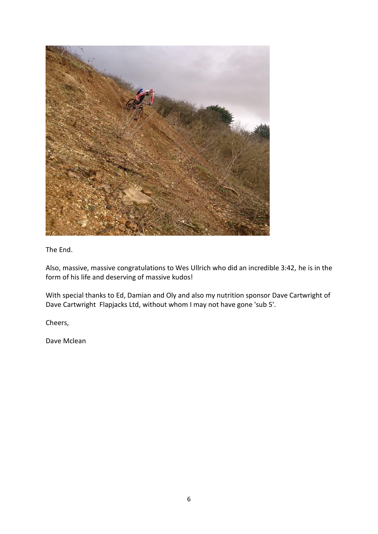

The End.

Also, massive, massive congratulations to Wes Ullrich who did an incredible 3:42, he is in the form of his life and deserving of massive kudos!

With special thanks to Ed, Damian and Oly and also my nutrition sponsor Dave Cartwright of Dave Cartwright Flapjacks Ltd, without whom I may not have gone 'sub 5'.

Cheers,

Dave Mclean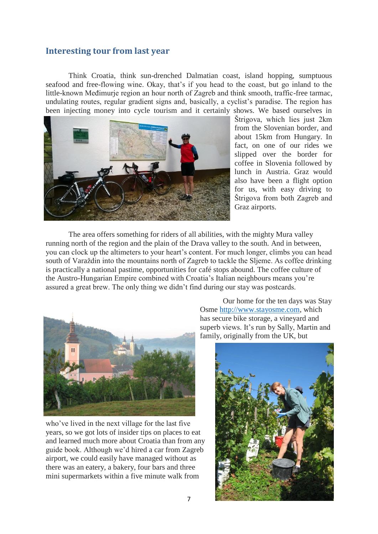#### **Interesting tour from last year**

Think Croatia, think sun-drenched Dalmatian coast, island hopping, sumptuous seafood and free-flowing wine. Okay, that's if you head to the coast, but go inland to the little-known Međimurje region an hour north of Zagreb and think smooth, traffic-free tarmac, undulating routes, regular gradient signs and, basically, a cyclist's paradise. The region has been injecting money into cycle tourism and it certainly shows. We based ourselves in



Štrigova, which lies just 2km from the Slovenian border, and about 15km from Hungary. In fact, on one of our rides we slipped over the border for coffee in Slovenia followed by lunch in Austria. Graz would also have been a flight option for us, with easy driving to Štrigova from both Zagreb and Graz airports.

The area offers something for riders of all abilities, with the mighty Mura valley running north of the region and the plain of the Drava valley to the south. And in between, you can clock up the altimeters to your heart's content. For much longer, climbs you can head south of Varaždin into the mountains north of Zagreb to tackle the Sljeme. As coffee drinking is practically a national pastime, opportunities for café stops abound. The coffee culture of the Austro-Hungarian Empire combined with Croatia's Italian neighbours means you're assured a great brew. The only thing we didn't find during our stay was postcards.



who've lived in the next village for the last five years, so we got lots of insider tips on places to eat and learned much more about Croatia than from any guide book. Although we'd hired a car from Zagreb airport, we could easily have managed without as there was an eatery, a bakery, four bars and three mini supermarkets within a five minute walk from

Our home for the ten days was Stay Osme [http://www.stayosme.com,](http://www.stayosme.com/) which has secure bike storage, a vineyard and superb views. It's run by Sally, Martin and family, originally from the UK, but